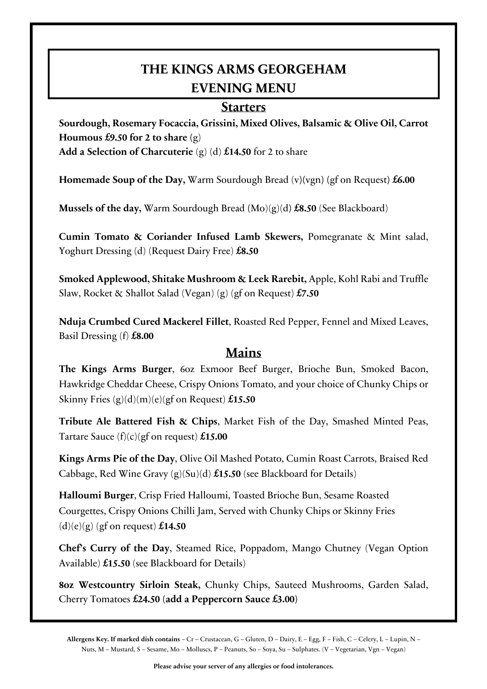## **THE KINGS ARMS GEORGEHAM EVENING MENU**

## **Starters**

**Sourdough, Rosemary Focaccia, Grissini, Mixed Olives, Balsamic & Olive Oil, Carrot Houmous £9.50 for 2 to share (**g) **Add a Selection of Charcuterie** (g) (d) **£14.50** for 2 to share

**Homemade Soup of the Day,** Warm Sourdough Bread (v**)(**vgn**) (**gf on Request**) £6.00**

**Mussels of the day,** Warm Sourdough Bread **(**Mo)(g)(d**) £8.50** (See Blackboard)

**Cumin Tomato & Coriander Infused Lamb Skewers,** Pomegranate & Mint salad, Yoghurt Dressing (d) (Request Dairy Free) **£8.50**

**Smoked Applewood, Shitake Mushroom & Leek Rarebit,** Apple, Kohl Rabi and Truffle Slaw, Rocket & Shallot Salad (Vegan) (g) (gf on Request) **£7.50**

**Nduja Crumbed Cured Mackerel Fillet**, Roasted Red Pepper, Fennel and Mixed Leaves, Basil Dressing (f) **£8.00**

## **Mains**

**The Kings Arms Burger**, 6oz Exmoor Beef Burger, Brioche Bun, Smoked Bacon, Hawkridge Cheddar Cheese, Crispy Onions Tomato, and your choice of Chunky Chips or Skinny Fries (g)(d)(m)(e)(gf on Request) **£15.50**

**Tribute Ale Battered Fish & Chips**, Market Fish of the Day, Smashed Minted Peas, Tartare Sauce (f)(c)(gf on request) **£15.00**

**Kings Arms Pie of the Day**, Olive Oil Mashed Potato, Cumin Roast Carrots, Braised Red Cabbage, Red Wine Gravy (g)(Su)(d) **£15.50** (see Blackboard for Details)

**Halloumi Burger**, Crisp Fried Halloumi, Toasted Brioche Bun, Sesame Roasted Courgettes, Crispy Onions Chilli Jam, Served with Chunky Chips or Skinny Fries (d)(e)(g) (gf on request) **£14.50**

**Chef's Curry of the Day**, Steamed Rice, Poppadom, Mango Chutney (Vegan Option Available) **£15.50** (see Blackboard for Details)

**8oz Westcountry Sirloin Steak,** Chunky Chips, Sauteed Mushrooms, Garden Salad, Cherry Tomatoes **£24.50 (add a Peppercorn Sauce £3.00)**

**Allergens Key. If marked dish contains** – Cr – Crustacean, G – Gluten, D – Dairy, E – Egg, F – Fish, C – Celery, L – Lupin, N – Nuts, M – Mustard, S – Sesame, Mo – Molluscs, P – Peanuts, So – Soya, Su – Sulphates. (V – Vegetarian, Vgn – Vegan)